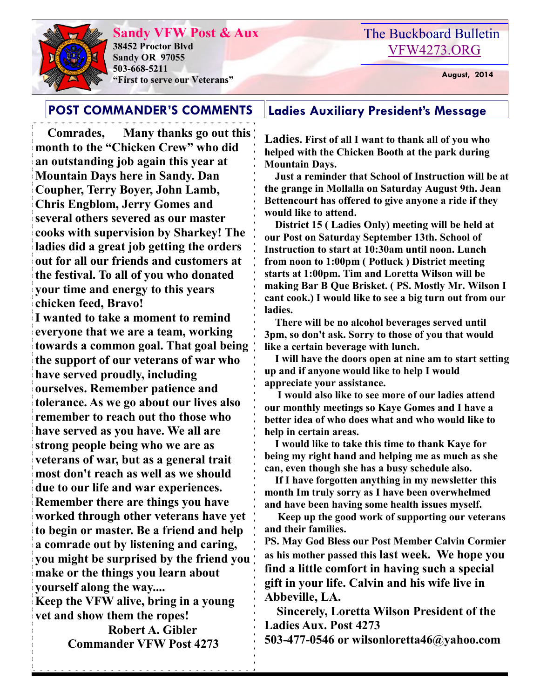### **Sandy VFW Post & Aux**



**38452 Proctor Blvd Sandy OR 97055 503-668-5211 "First to serve our Veterans" August, 2014** 

## The Buckboard Bulletin [VFW4273.ORG](http://vfw4273.org/)

#### **POST COMMANDER'S COMMENTS Ladies Auxiliary President's Message**

 **Comrades, Many thanks go out this month to the "Chicken Crew" who did an outstanding job again this year at Mountain Days here in Sandy. Dan Coupher, Terry Boyer, John Lamb, Chris Engblom, Jerry Gomes and several others severed as our master cooks with supervision by Sharkey! The ladies did a great job getting the orders out for all our friends and customers at the festival. To all of you who donated your time and energy to this years chicken feed, Bravo!**

**I wanted to take a moment to remind everyone that we are a team, working towards a common goal. That goal being the support of our veterans of war who have served proudly, including ourselves. Remember patience and tolerance. As we go about our lives also remember to reach out tho those who have served as you have. We all are strong people being who we are as veterans of war, but as a general trait most don't reach as well as we should due to our life and war experiences. Remember there are things you have worked through other veterans have yet to begin or master. Be a friend and help a comrade out by listening and caring, you might be surprised by the friend you make or the things you learn about yourself along the way....**

**Keep the VFW alive, bring in a young vet and show them the ropes!**

 **Robert A. Gibler Commander VFW Post 4273** **Ladies. First of all I want to thank all of you who helped with the Chicken Booth at the park during Mountain Days.**

 **Just a reminder that School of Instruction will be at the grange in Mollalla on Saturday August 9th. Jean Bettencourt has offered to give anyone a ride if they would like to attend.**

 **District 15 ( Ladies Only) meeting will be held at our Post on Saturday September 13th. School of Instruction to start at 10:30am until noon. Lunch from noon to 1:00pm ( Potluck ) District meeting starts at 1:00pm. Tim and Loretta Wilson will be making Bar B Que Brisket. ( PS. Mostly Mr. Wilson I cant cook.) I would like to see a big turn out from our ladies.**

 **There will be no alcohol beverages served until 3pm, so don't ask. Sorry to those of you that would like a certain beverage with lunch.**

 **I will have the doors open at nine am to start setting up and if anyone would like to help I would appreciate your assistance.**

 **I would also like to see more of our ladies attend our monthly meetings so Kaye Gomes and I have a better idea of who does what and who would like to help in certain areas.** 

 **I would like to take this time to thank Kaye for being my right hand and helping me as much as she can, even though she has a busy schedule also.**

 **If I have forgotten anything in my newsletter this month Im truly sorry as I have been overwhelmed and have been having some health issues myself.** 

 **Keep up the good work of supporting our veterans and their families.**

**PS. May God Bless our Post Member Calvin Cormier as his mother passed this last week. We hope you find a little comfort in having such a special gift in your life. Calvin and his wife live in Abbeville, LA.** 

 **Sincerely, Loretta Wilson President of the Ladies Aux. Post 4273**

**503-477-0546 or wilsonloretta46@yahoo.com**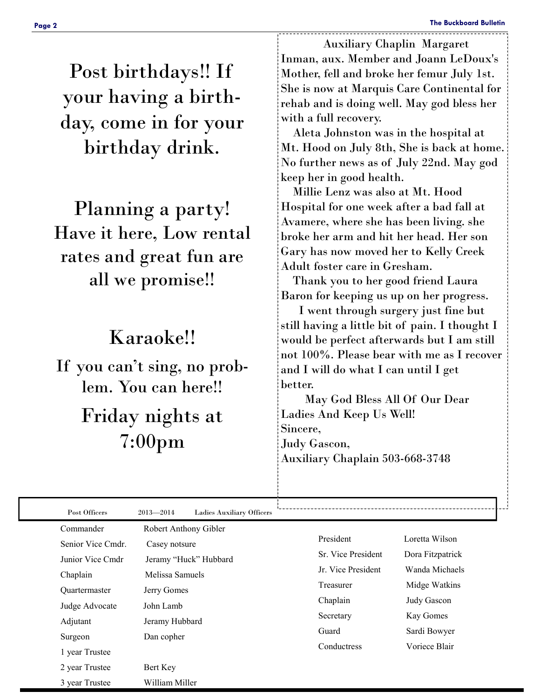Post birthdays!! If your having a birthday, come in for your birthday drink.

Planning a party! Have it here, Low rental rates and great fun are all we promise!!

# Karaoke!!

If you can't sing, no problem. You can here!! Friday nights at 7:00pm

 Auxiliary Chaplin Margaret Inman, aux. Member and Joann LeDoux's Mother, fell and broke her femur July 1st. She is now at Marquis Care Continental for rehab and is doing well. May god bless her with a full recovery.

 Aleta Johnston was in the hospital at Mt. Hood on July 8th, She is back at home. No further news as of July 22nd. May god keep her in good health.

 Millie Lenz was also at Mt. Hood Hospital for one week after a bad fall at Avamere, where she has been living. she broke her arm and hit her head. Her son Gary has now moved her to Kelly Creek Adult foster care in Gresham.

 Thank you to her good friend Laura Baron for keeping us up on her progress.

 I went through surgery just fine but still having a little bit of pain. I thought I would be perfect afterwards but I am still not 100%. Please bear with me as I recover and I will do what I can until I get better.

 May God Bless All Of Our Dear Ladies And Keep Us Well! Sincere, Judy Gascon, Auxiliary Chaplain 503-668-3748

| Post Officers     | $2013 - 2014$<br><b>Ladies Auxiliary Officers</b> |                    |                  |
|-------------------|---------------------------------------------------|--------------------|------------------|
| Commander         | Robert Anthony Gibler                             |                    |                  |
| Senior Vice Cmdr. | Casey notsure                                     | President          | Loretta Wilson   |
| Junior Vice Cmdr  | Jeramy "Huck" Hubbard                             | Sr. Vice President | Dora Fitzpatrick |
| Chaplain          | Melissa Samuels                                   | Jr. Vice President | Wanda Michaels   |
| Quartermaster     | Jerry Gomes                                       | Treasurer          | Midge Watkins    |
| Judge Advocate    | John Lamb                                         | Chaplain           | Judy Gascon      |
|                   |                                                   | Secretary          | Kay Gomes        |
| Adjutant          | Jeramy Hubbard                                    | Guard              | Sardi Bowyer     |
| Surgeon           | Dan copher                                        | Conductress        | Voriece Blair    |
| 1 year Trustee    |                                                   |                    |                  |
| 2 year Trustee    | Bert Key                                          |                    |                  |
| 3 year Trustee    | William Miller                                    |                    |                  |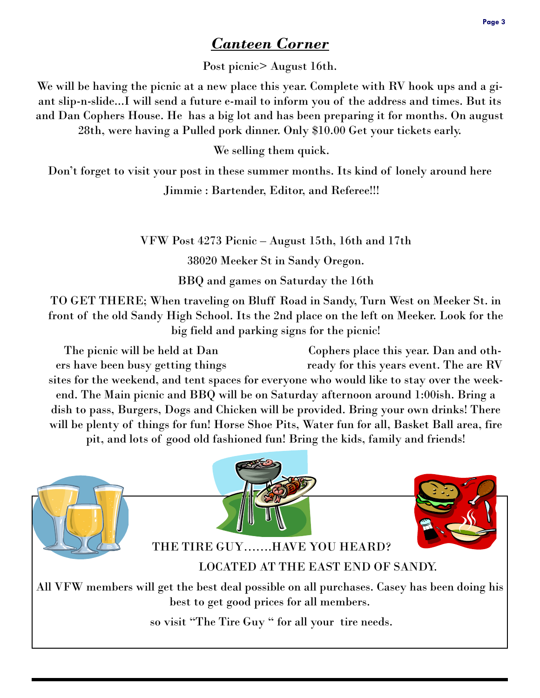## *Canteen Corner*

Post picnic> August 16th.

We will be having the picnic at a new place this year. Complete with RV hook ups and a giant slip-n-slide...I will send a future e-mail to inform you of the address and times. But its and Dan Cophers House. He has a big lot and has been preparing it for months. On august 28th, were having a Pulled pork dinner. Only \$10.00 Get your tickets early.

We selling them quick.

Don't forget to visit your post in these summer months. Its kind of lonely around here

Jimmie : Bartender, Editor, and Referee!!!

VFW Post 4273 Picnic – August 15th, 16th and 17th

38020 Meeker St in Sandy Oregon.

BBQ and games on Saturday the 16th

TO GET THERE; When traveling on Bluff Road in Sandy, Turn West on Meeker St. in front of the old Sandy High School. Its the 2nd place on the left on Meeker. Look for the big field and parking signs for the picnic!

The picnic will be held at Dan Cophers place this year. Dan and others have been busy getting things ready for this years event. The are RV sites for the weekend, and tent spaces for everyone who would like to stay over the weekend. The Main picnic and BBQ will be on Saturday afternoon around 1:00ish. Bring a dish to pass, Burgers, Dogs and Chicken will be provided. Bring your own drinks! There will be plenty of things for fun! Horse Shoe Pits, Water fun for all, Basket Ball area, fire pit, and lots of good old fashioned fun! Bring the kids, family and friends!

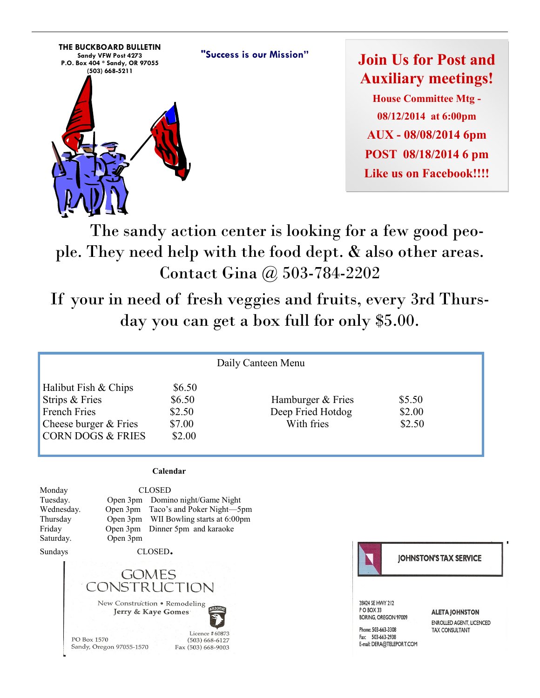

**Join Us for Post and Auxiliary meetings! House Committee Mtg - 08/12/2014 at 6:00pm AUX - 08/08/2014 6pm POST 08/18/2014 6 pm Like us on Facebook!!!!**

 The sandy action center is looking for a few good people. They need help with the food dept. & also other areas. Contact Gina @ 503-784-2202

If your in need of fresh veggies and fruits, every 3rd Thursday you can get a box full for only \$5.00.

| Daily Canteen Menu                                                                                                     |                                                |                                                      |                            |  |  |  |  |
|------------------------------------------------------------------------------------------------------------------------|------------------------------------------------|------------------------------------------------------|----------------------------|--|--|--|--|
| Halibut Fish & Chips<br>Strips & Fries<br><b>French Fries</b><br>Cheese burger & Fries<br><b>CORN DOGS &amp; FRIES</b> | \$6.50<br>\$6.50<br>\$2.50<br>\$7.00<br>\$2.00 | Hamburger & Fries<br>Deep Fried Hotdog<br>With fries | \$5.50<br>\$2.00<br>\$2.50 |  |  |  |  |

#### **Calendar**

Monday CLOSED Tuesday. Open 3pm Domino night/Game Night Wednesday. Open 3pm Taco's and Poker Night—5pm Thursday Open 3pm WII Bowling starts at 6:00pm Friday Open 3pm Dinner 5pm and karaoke Saturday. Open 3pm

Fax (503) 668-9003

Sundays CLOSED**.** 



PO Box 1570 Sandy, Oregon 97055-1570 28424 SE HWY 212 PO BOX 33

**ALETA JOHNSTON** ENROLLED AGENT, LICENCED **TAX CONSULTANT** 

**JOHNSTON'S TAX SERVICE** 

**BORING, OREGON 97009** Phone: 503-663-3308 Fax: 503-663-2938

E-mail: DERA@TELEPORT.COM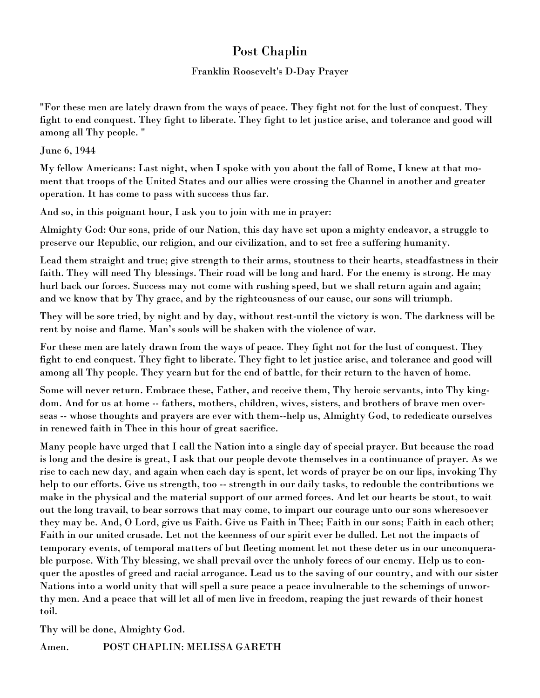#### Post Chaplin

#### Franklin Roosevelt's D-Day Prayer

"For these men are lately drawn from the ways of peace. They fight not for the lust of conquest. They fight to end conquest. They fight to liberate. They fight to let justice arise, and tolerance and good will among all Thy people. "

June 6, 1944

My fellow Americans: Last night, when I spoke with you about the fall of Rome, I knew at that moment that troops of the United States and our allies were crossing the Channel in another and greater operation. It has come to pass with success thus far.

And so, in this poignant hour, I ask you to join with me in prayer:

Almighty God: Our sons, pride of our Nation, this day have set upon a mighty endeavor, a struggle to preserve our Republic, our religion, and our civilization, and to set free a suffering humanity.

Lead them straight and true; give strength to their arms, stoutness to their hearts, steadfastness in their faith. They will need Thy blessings. Their road will be long and hard. For the enemy is strong. He may hurl back our forces. Success may not come with rushing speed, but we shall return again and again; and we know that by Thy grace, and by the righteousness of our cause, our sons will triumph.

They will be sore tried, by night and by day, without rest-until the victory is won. The darkness will be rent by noise and flame. Man's souls will be shaken with the violence of war.

For these men are lately drawn from the ways of peace. They fight not for the lust of conquest. They fight to end conquest. They fight to liberate. They fight to let justice arise, and tolerance and good will among all Thy people. They yearn but for the end of battle, for their return to the haven of home.

Some will never return. Embrace these, Father, and receive them, Thy heroic servants, into Thy kingdom. And for us at home -- fathers, mothers, children, wives, sisters, and brothers of brave men overseas -- whose thoughts and prayers are ever with them--help us, Almighty God, to rededicate ourselves in renewed faith in Thee in this hour of great sacrifice.

Many people have urged that I call the Nation into a single day of special prayer. But because the road is long and the desire is great, I ask that our people devote themselves in a continuance of prayer. As we rise to each new day, and again when each day is spent, let words of prayer be on our lips, invoking Thy help to our efforts. Give us strength, too -- strength in our daily tasks, to redouble the contributions we make in the physical and the material support of our armed forces. And let our hearts be stout, to wait out the long travail, to bear sorrows that may come, to impart our courage unto our sons wheresoever they may be. And, O Lord, give us Faith. Give us Faith in Thee; Faith in our sons; Faith in each other; Faith in our united crusade. Let not the keenness of our spirit ever be dulled. Let not the impacts of temporary events, of temporal matters of but fleeting moment let not these deter us in our unconquerable purpose. With Thy blessing, we shall prevail over the unholy forces of our enemy. Help us to conquer the apostles of greed and racial arrogance. Lead us to the saving of our country, and with our sister Nations into a world unity that will spell a sure peace a peace invulnerable to the schemings of unworthy men. And a peace that will let all of men live in freedom, reaping the just rewards of their honest toil.

Thy will be done, Almighty God.

Amen. POST CHAPLIN: MELISSA GARETH